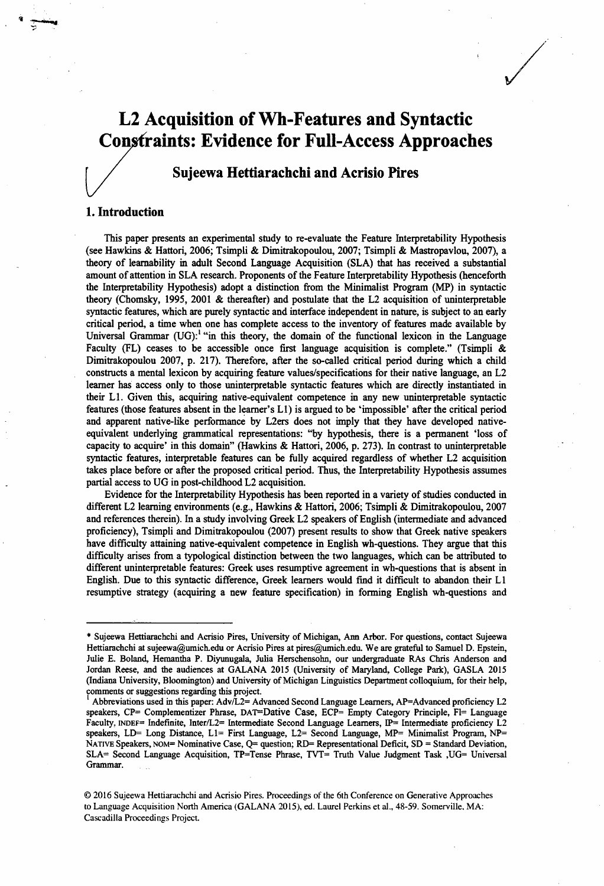# **L2 Acquisition of Wh-Features and Syntactic Constraints: Evidence for Full-Access Approaches**

# **/ Sujeewa Hettiarachchi and Acrisio Pires**

#### 1. Introduction

This paper presents an experimental study to re-evaluate the Feature Interpretability Hypothesis (see Hawkins & Hattori, 2006; Tsimpli & Dimitrakopoulou, 2007; Tsimpli & Mastropavlou, 2007), a theory of leamability in adult Second Language Acquisition (SLA) that has received a substantial amount of attention in SLA research. Proponents of the Feature Interpretability Hypothesis (henceforth the Interpretability Hypothesis) adopt a distinction from the Minimalist Program (MP) in syntactic theory (Chomsky, 1995, 2001 & thereafter) and postulate that the L2 acquisition of uninterpretable syntactic features, which are purely syntactic and interface independent in nature, is subject to an early critical period, a time when one has complete access to the inventory of features made available by Universal Grammar (UG):<sup>1</sup> "in this theory, the domain of the functional lexicon in the Language Faculty (FL) ceases to be accessible once first language acquisition is complete." (Tsimpli  $\&$ Dimitrakopoulou 2007, p. 217). Therefore, after the so-called critical period during which a child constructs a mental lexicon by acquiring feature values/specifications for their native language, an L2 learner has access only to those uninterpretable syntactic features which are directly instantiated in their LI. Given this, acquiring native-equivalent competence in any new uninterpretable syntactic features (those features absent in the learner's LI) is argued to be 'impossible' after the critical period and apparent native-like performance by L2ers does not imply that they have developed nativeequivalent underlying grammatical representations: "by hypothesis, there is a permanent 'loss of capacity to acquire' in this domain" (Hawkins & Hattori, 2006, p. 273). In contrast to uninterpretable syntactic features, interpretable features can be fully acquired regardless of whether L2 acquisition takes place before or after the proposed critical period. Thus, the Interpretability Hypothesis assumes partial access to UG in post-childhood L2 acquisition.

Evidence for the Interpretability Hypothesis has been reported in a variety of studies conducted in different L2 learning environments (e.g., Hawkins & Hattori, 2006; Tsimpli & Dimitrakopoulou, 2007 and references therein). In a study involving Greek L2 speakers of English (intermediate and advanced proficiency), Tsimpli and Dimitrakopoulou (2007) present results to show that Greek native speakers have difficulty attaining native-equivalent competence in English wh-questions. They argue that this difficulty arises from a typological distinction between the two languages, which can be attributed to different uninterpretable features: Greek uses resumptive agreement in wh-questions that is absent in English. Due to this syntactic difference, Greek learners would find it difficult to abandon their LI resumptive strategy (acquiring a new feature specification) in forming English wh-questions and \*

**<sup>\*</sup> Sujeewa Hettiarachchi and Acrisio Pires, University of Michigan, Aim Arbor. For questions, contact Sujeewa Hettiarachchi at [sujeewa@umich.edu](mailto:sujeewa@umich.edu) or Acrisio Pires at [pires@umich.edu.](mailto:pires@umich.edu) We are grateful to Samuel D. Epstein, Julie E. Boland, Hemantha P. Diyunugala, Julia Herschensohn, our undergraduate RAs Chris Anderson and Jordan Reese, and the audiences at GALANA 2015 (University of Maryland, College Park), GASLA 2015 (Indiana University, Bloomington) and University of Michigan Linguistics Department colloquium, for their help, comments or suggestions regarding this project.**

**Abbreviations used in this paper: Adv/L2= Advanced Second Language Learners, AP=Advanced proficiency L2 speakers, CP= Complementizer Phrase, DAT=Dative Case, ECP= Empty Category Principle, Fl= Language Faculty, indef= Indefinite, Inter/L2= Intermediate Second Language Learners, IP= Intermediate proficiency L2 speakers, LD= Long Distance, Ll= First Language, L2= Second Language, MP= Minimalist Program, NP= Na tive Speakers, NOM= Nominative Case, Q= question; RD= Representational Deficit, SD = Standard Deviation, SLA= Second Language Acquisition, TP=Tense Phrase, TVT= Truth Value Judgment Task ,UG= Universal Grammar.**

**<sup>© 2016</sup> Sujeewa Hettiarachchi and Acrisio Pires. Proceedings of the 6th Conference on Generative Approaches** to Language Acquisition North America (GALANA 2015), ed. Laurel Perkins et al., 48-59. Somerville, MA: **Cascadilla Proceedings Project.**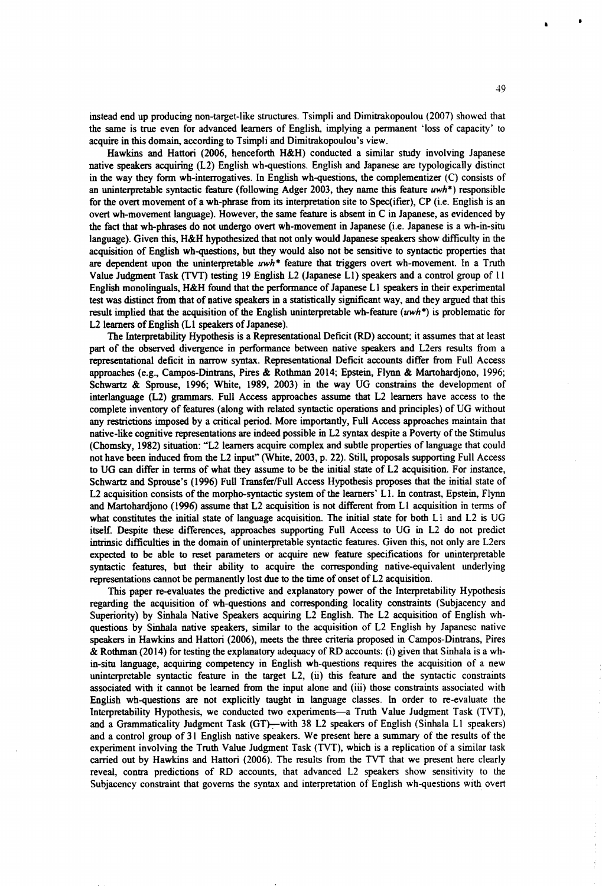instead end up producing non-target-like structures. Tsimpli and Dimitrakopoulou (2007) showed that the same is true even for advanced learners of English, implying a permanent 'loss of capacity' to acquire in this domain, according to Tsimpli and Dimitrakopoulou's view.

Hawkins and Hattori (2006, henceforth H&H) conducted a similar study involving Japanese native speakers acquiring (L2) English wh-questions. English and Japanese are typologically distinct in the way they form wh-interrogatives. In English wh-questions, the complementizer  $(C)$  consists of an uninterpretable syntactic feature (following Adger 2003, they name this feature *uwh\*)* responsible for the overt movement of a wh-phrase from its interpretation site to Specifier), CP (i.e. English is an overt wh-movement language). However, die same feature is absent in C in Japanese, as evidenced by the fact that wh-phrases do not undergo overt wh-movement in Japanese (i.e. Japanese is a wh-in-situ language). Given this, H&H hypothesized that not only would Japanese speakers show difficulty in the acquisition of English wh-questions, but they would also not be sensitive to syntactic properties that are dependent upon the uninterpretable *uwh\** feature that triggers overt wh-movement. In a Truth Value Judgment Task (TVT) testing 19 English L2 (Japanese LI) speakers and a control group of 11 English monolinguals, H&H found that the performance of Japanese LI speakers in their experimental test was distinct from that of native speakers in a statistically significant way, and they argued that this result implied that the acquisition of the English uninterpretable wh-feature *(uwh\*)* is problematic for L2 learners of English (LI speakers of Japanese).

The Interpretability Hypothesis is a Representational Defrcit (RD) account; it assumes that at least part of the observed divergence in performance between native speakers and L2ers results from a representational deficit in narrow syntax. Representational Deficit accounts differ from Full Access approaches (e.g., Campos-Dintrans, Pires & Rothman 2014; Epstein, Flynn & Martohardjono, 1996; Schwartz & Sprouse, 1996; White, 1989, 2003) in the way UG constrains the development of interlanguage (L2) grammars. Full Access approaches assume that L2 learners have access to the complete inventory of features (along with related syntactic operations and principles) of UG without any restrictions imposed by a critical period. More importantly, Full Access approaches maintain that native-like cognitive representations are indeed possible in L2 syntax despite a Poverty of the Stimulus (Chomsky, 1982) situation: "L2 learners acquire complex and subtle properties of language that could not have been induced from the L2 input" (White, 2003, p. 22). Still, proposals supporting Full Access to UG can differ in terms of what they assume to be die initial state of L2 acquisition. For instance, Schwartz and Sprouse's (1996) Full Transfer/Full Access Hypothesis proposes that the initial state of L2 acquisition consists of the morpho-syntactic system of the learners' LI. In contrast, Epstein, Flynn and Martohardjono (1996) assume that L2 acquisition is not different from LI acquisition in terms of what constitutes the initial state of language acquisition. The initial state for both L1 and L2 is UG itself. Despite these differences, approaches supporting Full Access to UG in L2 do not predict intrinsic difficulties in the domain of uninterpretable syntactic features. Given this, not only are L2ers expected to be able to reset parameters or acquire new feature specifications for uninterpretable syntactic features, but their ability to acquire the corresponding native-equivalent underlying representations cannot be permanently lost due to the time of onset of L2 acquisition.

This paper re-evaluates the predictive and explanatory power of the Interpretability Hypothesis regarding die acquisition of wh-questions and corresponding locality constraints (Subjacency and Superiority) by Sinhala Native Speakers acquiring L2 English. The L2 acquisition of English whquestions by Sinhala native speakers, similar to the acquisition of L2 English by Japanese native speakers in Hawkins and Hattori (2006), meets the three criteria proposed in Campos-Dintrans, Pires & Rothman (2014) for testing the explanatory adequacy of RD accounts: (i) given that Sinhala is a whin-situ language, acquiring competency in English wh-questions requires the acquisition of a new uninterpretable syntactic feature in the target L2, (ii) this feature and the syntactic constraints associated with it cannot be learned from the input alone and (iii) those constraints associated with English wh-questions are not explicitly taught in language classes. In order to re-evaluate the Interpretability Hypothesis, we conducted two experiments—a Truth Value Judgment Task (TVT), and a Grammaticality Judgment Task (GT)—with 38 L2 speakers of English (Sinhala LI speakers) and a control group of 31 English native speakers. We present here a summary of the results of the experiment involving the Truth Value Judgment Task (TVT), which is a replication of a similar task carried out by Hawkins and Hattori (2006). The results from the TVT that we present here clearly reveal, contra predictions of RD accounts, that advanced L2 speakers show sensitivity to the Subjacency constraint that governs the syntax and interpretation of English wh-questions with overt

I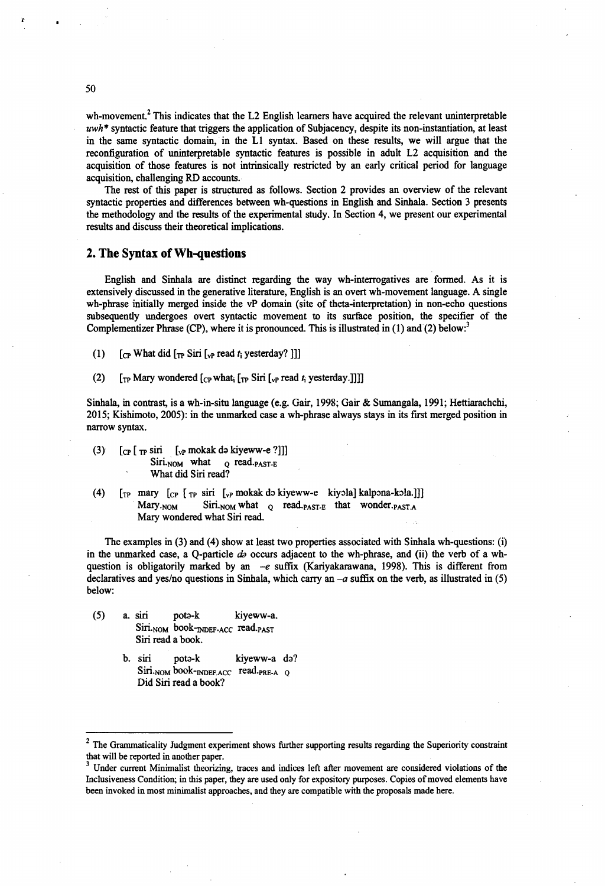wh-movement.<sup>2</sup> This indicates that the L2 English learners have acquired the relevant uninterpretable *uwh\** syntactic feature that triggers the application of Subjacency, despite its non-instantiation, at least in the same syntactic domain, in the LI syntax. Based on these results, we will argue that the reconfiguration of uninterpretable syntactic features is possible in adult L2 acquisition and the acquisition of those features is not intrinsically restricted by an early critical period for language acquisition, challenging RD accounts.

The rest of this paper is structured as follows. Section 2 provides an overview of the relevant syntactic properties and differences between wh-questions in English and Sinhala. Section 3 presents the methodology and the results of the experimental study. In Section 4, we present our experimental results and discuss their theoretical implications.

#### 2. The Syntax of Wh-questions

English and Sinhala are distinct regarding the way wh-interrogatives are formed. As it is extensively discussed in the generative literature, English is an overt wh-movement language. A single wh-phrase initially merged inside the vP domain (site of theta-interpretation) in non-echo questions subsequently undergoes overt syntactic movement to its surface position, the specifier of the Complementizer Phrase (CP), where it is pronounced. This is illustrated in (1) and (2) below:<sup>3</sup>

- (1)  $\left[\begin{array}{cc} \text{Cp} \text{ What did } \left[\begin{array}{c} \text{Tr} \text{ Sir } \left[\begin{array}{c} \text{vp} \text{ read } t\end{array} \right] \text{yesterday? } \end{array}\right]\right] \end{array}\right]$
- (2)  $[\text{tr} \text{Mary wondered} [\text{cr} \text{ what}_i [\text{tr} \text{ Sir} [\text{v}_i \text{ read } t_i \text{ yesterday}]]]]$

Sinhala, in contrast, is a wh-in-situ language (e.g. Gair, 1998; Gair & Sumangala, 1991; Hettiarachchi, 2015; Kishimoto, 2005): in the unmarked case a wh-phrase always stays in its first merged position in narrow syntax.

- (3)  $\left[ \text{CP} \left[ \text{TP} \sin \left[ \text{VP} \text{mokak} \text{ do } \text{kip} \text{eww-e } ? \right] \right] \right]$  $Siri<sub>NOM</sub>$  what  $q$  read .p A ST-E What did Siri read?
- (4)  $\lbrack \text{tp}$  mary  $\lbrack \text{cp} \rbrack$   $\lbrack \text{tp}$  siri  $\lbrack \text{bp}$  mokak də kiyeww-e kiyəla] kalpəna-kəla.]] Mary.<sub>NOM</sub> Siri.<sub>NOM</sub> what **Q** read.<sub>PAST-E</sub> that wonder.<sub>PAST.A</sub> Mary **wondered what** Siri **read.**

The examples in (3) and (4) show at least two properties associated with Sinhala wh-questions: (i) in the unmarked case, a Q-particle *da* occurs adjacent to the wh-phrase, and (ii) the verb of a whquestion is obligatorily marked by an  $-e$  suffix (Kariyakarawana, 1998). This is different from declaratives and yes/no questions in Sinhala, which carry an *-a* suffix on the verb, as illustrated in (5) below:

- $(5)$ a. siri pota-k kiyeww-a. Siri.<sub>NOM</sub> book-INDEF-ACC read.pAST Siri read a book.
	- b. siri pota-k kiyeww-a da? Siri.<sub>NOM</sub> book-INDEF.ACC read.pRE-A Q Did Siri read a book?

50

**<sup>2</sup> The Grammaticality Judgment experiment shows further supporting results regarding the Superiority constraint that will be reported in another paper.**

**<sup>3</sup> Under current Minimalist theorizing, traces and indices left after movement are considered violations of the Inclusiveness Condition; in this paper, they are used only for expository purposes. Copies of moved elements have been invoked in most minimalist approaches, and they are compatible with the proposals made here.**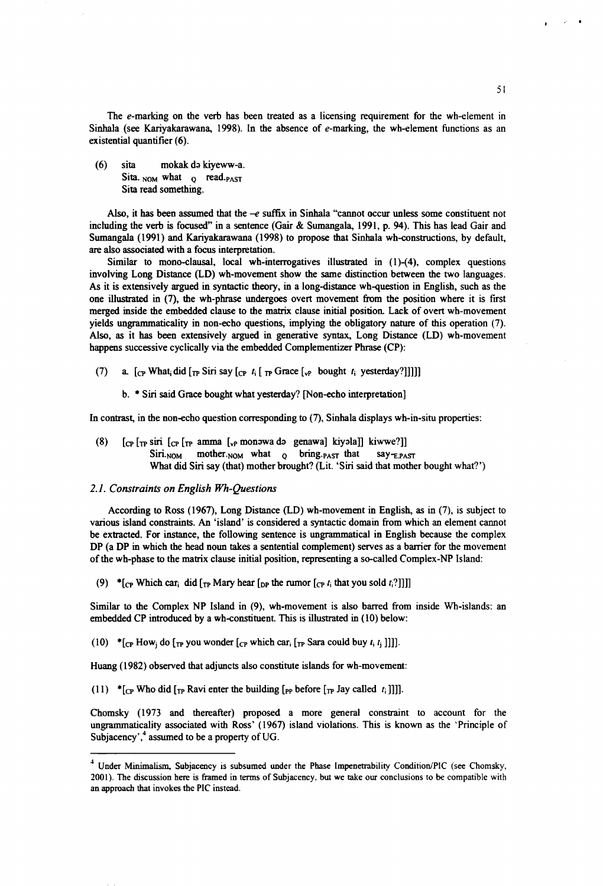The e-marking on the verb has been treated as a licensing requirement for the wh-element in Sinhala (see Kariyakarawana, 1998). In the absence of e-marking, the wh-element functions as an existential quantifier (6).

(6) sita mokak do kiyeww-a. Sita.  $_{NOM}$  what  $_{Q}$  read. $_{PAST}$ Sita read something.

Also, it has been assumed that the  $-e$  suffix in Sinhala "cannot occur unless some constituent not including the verb is focused" in a sentence (Gair & Sumangala, 1991, p. 94). This has lead Gair and Sumangala (1991) and Kariyakarawana (1998) to propose that Sinhala wh-constructions, by default, are also associated with a focus interpretation.

Similar to mono-clausal, local wh-interrogatives illustrated in (l)-(4), complex questions involving Long Distance (LD) wh-movement show the same distinction between the two languages. As it is extensively argued in syntactic theory, in a long-distance wh-question in English, such as the one illustrated in (7), the wh-phrase undergoes overt movement from the position where it is first merged inside the embedded clause to the matrix clause initial position. Lack of overt wh-movement yields ungrammadcality in non-echo questions, implying die obligatory nature of this operation (7). Also, as it has been extensively argued in generative syntax, Long Distance (LD) wh-movement happens successive cyclically via the embedded Complementizer Phrase (CP):

(7) a.  $\lbrack \begin{array}{cc} \text{c}_P \text{ What}_i \text{ did } \lbrack \begin{array}{cc} \text{Tr} \text{ Sir say } \lbrack \text{c}_P \end{array} t_i \lbrack \begin{array}{cc} \text{Tr} \text{ Grace } \lbrack \text{v}_P \end{array} \text{ bought } t_i \text{ yesterday?}} \rbrack \rbrack \rbrack \rbrack$ 

b. \* Siri said Grace bought what yesterday? [Non-echo interpretation]

In contrast, in the non-echo question corresponding to (7), Sinhala displays wh-in-situ properties:

(8) [cp [tp siri [cp [tp amnia [vP monawa da genawa] kiyala]] kiwwe?]]  $Siri<sub>NOM</sub>$  mother.<sub>NOM</sub> what  $o$  bring.<sub>PAST</sub> that say- $E$ PAST What did Siri say (that) mother brought? (Lit. 'Siri said that mother bought what?')

#### *2.1. Constraints on English Wh-Questions*

According to Ross (1967), Long Distance (LD) wh-movement in English, as in (7), is subject to various island constraints. An 'island' is considered a syntactic domain from which an element cannot be extracted. For instance, the following sentence is ungrammatical in English because the complex DP (a DP in which the head noun takes a sentential complement) serves as a barrier for the movement of the wh-phase to the matrix clause initial position, representing a so-called Complex-NP Island:

(9) \*[cp Which car<sub>i</sub> did [ $_{\text{TP}}$  Mary hear [ $_{\text{DP}}$  the rumor [cp  $t_i$  that you sold  $t_i$ ?]]]]

Similar to the Complex NP Island in (9), wh-movement is also barred from inside Wh-islands: an embedded CP introduced by a wh-constituent. This is illustrated in (10) below:

(10) \* $[cp How_i$  do  $[rp]$  you wonder  $[cp]$  which car<sub>i</sub>  $[rp]$  Sara could buy  $t_i$ ,  $t_j$ ]]].

Huang (1982) observed that adjuncts also constitute islands for wh-movement:

(11)  $*_{[CP]}$  Who did  $_{[TP]}$  Ravi enter the building  $_{[PP]}$  before  $_{[TP]}$  Jay called  $t_i$ ]]].

Chomsky (1973 and thereafter) proposed a more general constraint to account for the ungrammaticality associated with Ross' (1967) island violations. This is known as the 'Principle of Subjacency',<sup>4</sup> assumed to be a property of UG.

<sup>&</sup>lt;sup>4</sup> Under Minimalism, Subjacency is subsumed under the Phase Impenetrability Condition/PIC (see Chomsky, 2001). The discussion here is framed in terms of Subjacency, but we take our conclusions to be compatible with an approach that invokes the PIC instead.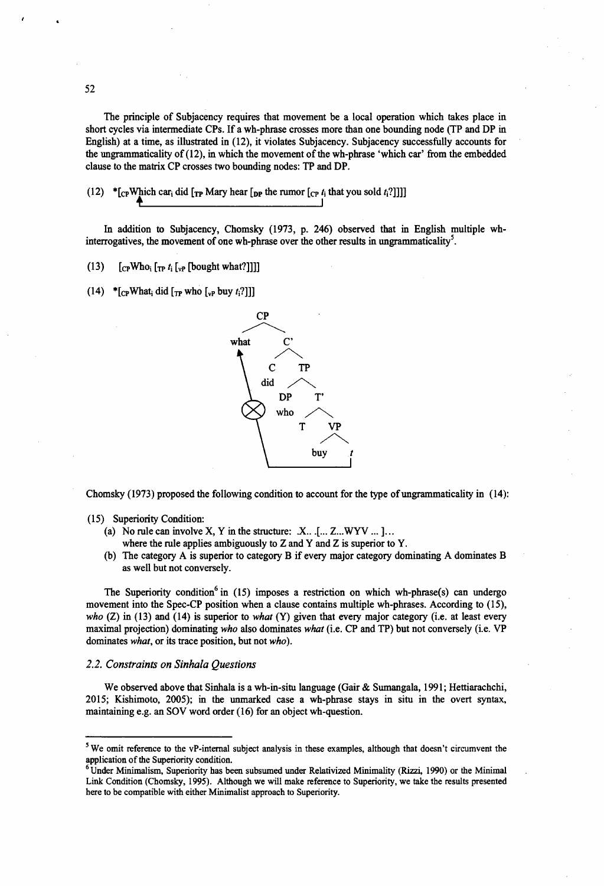The principle of Subjacency requires that movement be a local operation which takes place in short cycles via intermediate CPs. If a wh-phrase crosses more than one bounding node (TP and DP in English) at a time, as illustrated in (12), it violates Subjacency. Subjacency successfully accounts for the ungrammaticality of (12), in which the movement of the wh-phrase 'which car' from the embedded clause to the matrix CP crosses two bounding nodes: TP and DP.

(12)  $*$  [c<sub>p</sub>Which car<sub>i</sub> did [<sub>TP</sub> Mary hear [<sub>DP</sub> the rumor [c<sub>P</sub> *t<sub>i</sub>* that you sold *t*<sub>1</sub>?]]]] **4\_\_\_\_\_\_\_\_\_\_\_\_\_\_\_\_\_\_\_\_\_\_\_I**

In addition to Subjacency, Chomsky (1973, p. 246) observed that in English multiple whinterrogatives, the movement of one wh-phrase over the other results in ungrammaticality<sup>5</sup>.

(13)  $[cpWho_i [rp t_i [v_i (bought what?]]]]]$ 

(14) \*  $[{}_C$ PWhat<sub>i</sub> did  $[{}_T$ Pwho  $[{}_V$ P buy t<sub>i</sub>?]]]



Chomsky (1973) proposed the following condition to account for the type of ungrammaticality in (14):

- (a) No rule can involve X, Y in the structure:  $X$ ... [... Z...WYV ...]...
	- where the rule applies ambiguously to  $Z$  and  $Y$  and  $Z$  is superior to  $Y$ .
- (b) The category A is superior to category B if every major category dominating A dominates B as well but not conversely.

The Superiority condition<sup>6</sup> in (15) imposes a restriction on which wh-phrase(s) can undergo movement into the Spec-CP position when a clause contains multiple wh-phrases. According to (15), *who* (Z) in (13) and (14) is superior to *what* (Y) given that every major category (i.e. at least every maximal projection) dominating *who* also dominates *what* (i.e. CP and TP) but not conversely (i.e. VP dominates *what,* or its trace position, but not *who).*

#### *2.2. Constraints on Sinhala Questions*

We observed above that Sinhala is a wh-in-situ language (Gair & Sumangala, 1991; Hettiarachchi, 2015; Kishimoto, 2005); in the unmarked case a wh-phrase stays in situ in the overt syntax, maintaining e.g. an SOV word order (16) for an object wh-question.

<sup>(15)</sup> Superiority Condition:

 $5$  We omit reference to the vP-internal subject analysis in these examples, although that doesn't circumvent the application of the Superiority condition.

 $6$  Under Minimalism, Superiority has been subsumed under Relativized Minimality (Rizzi, 1990) or the Minimal Link Condition (Chomsky, 1995). Although we will make reference to Superiority, we take the results presented here to be compatible with either Minimalist approach to Superiority.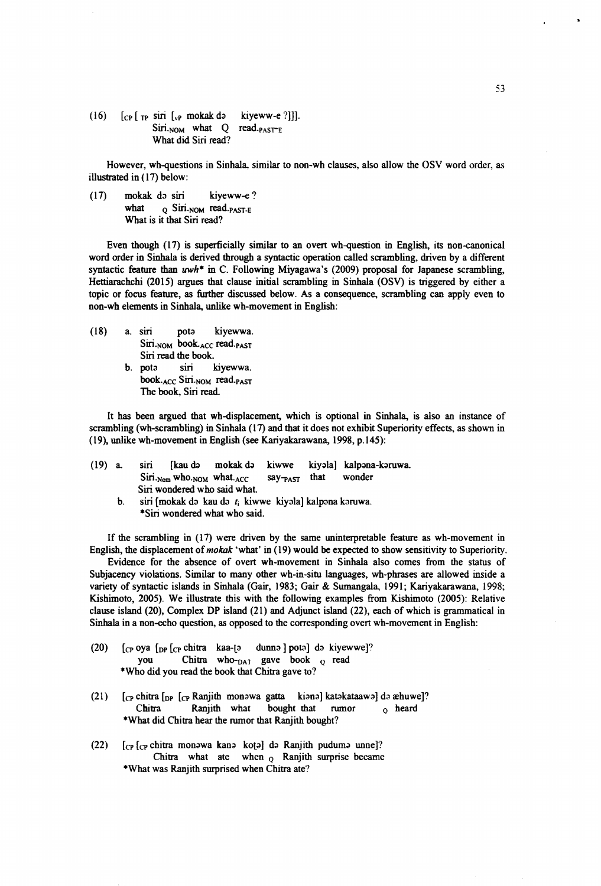(16)  $\begin{bmatrix} \text{CP} \end{bmatrix}$   $\begin{bmatrix} \text{TP} \end{bmatrix}$  siri  $\begin{bmatrix} \text{VP} \end{bmatrix}$  mokak do kiyeww-e ?]]].<br>Siri.<sub>NOM</sub> what Q read.<sub>PASTE</sub> Siri. $NOM$  what  $Q$ What did Siri read?

However, wh-questions in Sinhala, similar to non-wh clauses, also allow the OSV word order, as illustrated in (17) below:

(17) mokak da siri kiyeww-e? what  $q$  Siri.NOM read.  $p_{\text{AST-E}}$ What is it that Siri read?

Even though (17) is superficially similar to an overt wh-question in English, its non-canonical word order in Sinhala is derived through a syntactic operation called scrambling, driven by a different syntactic feature than *uwh\** in C. Following Miyagawa's (2009) proposal for Japanese scrambling, Hettiarachchi (2015) argues that clause initial scrambling in Sinhala (OSV) is triggered by either a topic or focus feature, as further discussed below. As a consequence, scrambling can apply even to non-wh elements in Sinhala, unlike wh-movement in English:

- (18) a. siri pots kiyewwa. Siri.<sub>NOM</sub> book.<sub>ACC</sub> read.<sub>PAST</sub> Siri read the **book,**
	- **b.** pots siri kiyewwa. **book.ACC Siri.NOM read.PAST** The **book,** Siri read.

It has been argued that wh-displacement, which is optional in Sinhala, is also an instance of scrambling (wh-scrambling) in Sinhala (17) and that it does not exhibit Superiority effects, as shown in (19) , unlike wh-movement in English (see Kariyakarawana, 1998, p.145):

| $(19)$ a. | siri [kau də mokak də kiwwe kiyəla] kalpəna-kəruwa.                                 |   |             |
|-----------|-------------------------------------------------------------------------------------|---|-------------|
|           | $\text{Siri.}_{\text{Nom}}$ who. $\text{nom}$ what. $\text{ACC}$ say- $\text{pay-}$ |   | that wonder |
|           | Siri wondered who said what.                                                        |   |             |
|           |                                                                                     | . |             |

b. siri [mokak da kau da *t\* kiwwe kiyala] kalpana karuwa. \*Siri wondered what who said.

If the scrambling in  $(17)$  were driven by the same uninterpretable feature as wh-movement in English, the displacement of *mokak* 'what' in (19) would be expected to show sensitivity to Superiority.

Evidence for the absence of overt wh-movement in Sinhala also comes from the status of Subjacency violations. Similar to many other wh-in-situ languages, wh-phrases are allowed inside a variety of syntactic islands in Sinhala (Gair, 1983; Gair & Sumangala, 1991; Kariyakarawana, 1998; Kishimoto, 2005). We illustrate this with the following examples from Kishimoto (2005): Relative clause island (20), Complex DP island (21) and Adjunct island (22), each of which is grammatical in Sinhala in a non-echo question, as opposed to the corresponding overt wh-movement in English:

- (20)  $[CP OY^2]$  [ $CP OY^2$  chitra kaa-[3 dunno ] poto] do kiyewwe]? you Chitra who-DAT gave book o read \*Who did you read the book that Chitra gave to?
- (21)  $\left[$ <sub>CP</sub> chitra  $\left[$ <sub>DP</sub>  $\left[$ <sub>CP</sub> Ranjith monowa gatta kiono] katokataawo] do æhuwe]? Chitra Ranjith what bought that rumor *Q* heard ♦What did Chitra hear the rumor that Ranjith bought?
- (22)  $[cp]$   $[cp]$  chitra monowa kano koto] do Ranjith pudumo unne]? Chitra what ate when  $_0$  Ranjith surprise became ♦What was Ranjith surprised when Chitra ate?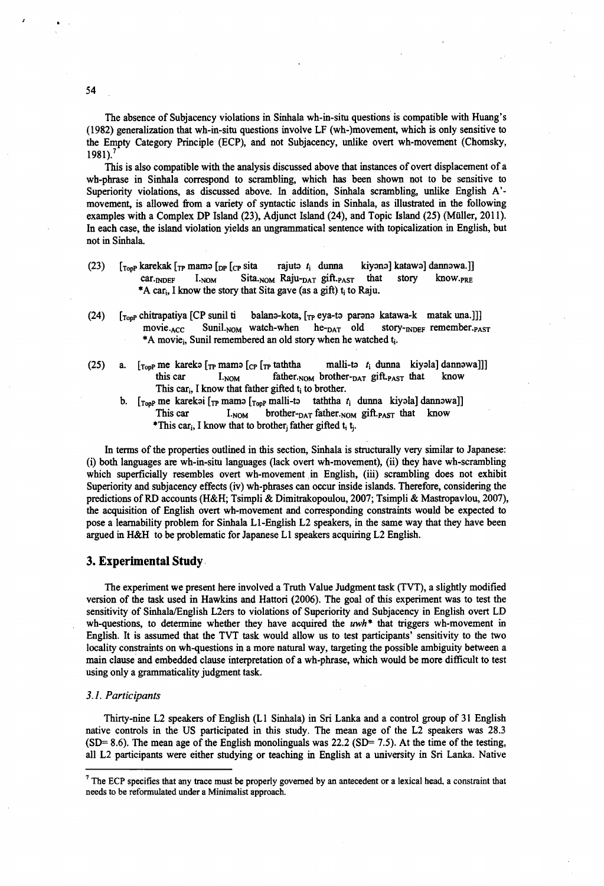The absence of Subjacency violations in Sinhala wh-in-situ questions is compatible with Huang's (1982) generalization that wh-in-situ questions involve LF (wh-)movement, which is only sensitive to the Empty Category Principle (ECP), and not Subjacency, unlike overt wh-movement (Chomsky, 1981).<sup>7</sup>

This is also compatible with the analysis discussed above that instances of overt displacement of a wh-phrase in Sinhala correspond to scrambling, which has been shown not to be sensitive to Superiority violations, as discussed above. In addition, Sinhala scrambling, unlike English A' movement, is allowed from a variety of syntactic islands in Sinhala, as illustrated in the following examples with a Complex DP Island (23), Adjunct Island (24), and Topic Island (25) (Miiller, 2011). In each case, the island violation yields an ungrammatical sentence with topicalization in English, but not in Sinhala.

- (23)  $\left[\begin{matrix} 1_{\text{top}} \end{matrix}\right]$  karekak  $\left[\begin{matrix} 1_{\text{top}} \end{matrix}\right]$  mama  $\left[\begin{matrix} 1_{\text{opt}} \end{matrix}\right]$  katawa kiyono] katawa lamawa.]] car.<sub>INDEF</sub> I.<sub>NOM</sub> Sita.<sub>NOM</sub> Raju-<sub>DAT</sub> gift.<sub>PAST</sub> that story know.<sub>PRE</sub> \*A car<sub>i</sub>, I know the story that Sita gave (as a gift)  $t_i$  to Raju.
- (24) [Topp chitrapatiya [CP sunil ti balana-kota, [tp eya-ta parana katawa-k matak una.]]] movie. $_{ACC}$  Sunil.<sub>NOM</sub> watch-when he- $_{DATA}$  old story- $_{NDEF}$  remember. $_{PAST}$ \*A movie, Sunil remembered an old story when he watched t<sub>i</sub>.
- (25) a.  $[r<sub>opp</sub>$ me kareka  $[r<sub>P</sub>$ mama  $[c<sub>P</sub> (r<sub>P</sub> taththa \t malli-ta \t t<sub>i</sub> dunna kiyala] dannowa]]]$ this car  $I_{.NOM}$  father. $NOM$  brother- $DAT$  gift. $PAST$  that know This car<sub>i</sub>, I know that father gifted  $t_i$  to brother.
	- [<sub>Top</sub>p me karekai [<sub>TP</sub> mama [<sub>Top</sub>p malli-ta taththa *t*<sub>i</sub> dunna kiyala] dannawa]] This car  $I_{NOM}$  brother- $_{DATA}$  father. $_{NOM}$  gift. $_{PAST}$  that know \*This car<sub>i</sub>, I know that to brother<sub>i</sub> father gifted  $t_i$  t<sub>i</sub>.

In terms of the properties outlined in this section, Sinhala is structurally very similar to Japanese: (i) both languages are wh-in-situ languages (lack overt wh-movement), (ii) they have wh-scrambling which superficially resembles overt wh-movement in English, (iii) scrambling does not exhibit Superiority and subjacency effects (iv) wh-phrases can occur inside islands. Therefore, considering the predictions of RD accounts (H&H; Tsimpli & Dimitrakopoulou, 2007; Tsimpli & Mastropavlou, 2007), the acquisition of English overt wh-movement and corresponding constraints would be expected to pose a leamability problem for Sinhala LI-English L2 speakers, in the same way that they have been argued in H&H to be problematic for Japanese LI speakers acquiring L2 English.

#### 3. Experimental Study

The experiment we present here involved a Truth Value Judgment task (TVT), a slightly modified version of the task used in Hawkins and Hattori (2006). The goal of this experiment was to test the sensitivity of Sinhala/English L2ers to violations of Superiority and Subjacency in English overt LD wh-questions, to determine whether they have acquired the *uwh\** that triggers wh-movement in English. It is assumed that the TVT task would allow us to test participants' sensitivity to the two locality constraints on wh-questions in a more natural way, targeting the possible ambiguity between a main clause and embedded clause interpretation of a wh-phrase, which would be more difficult to test using only a grammaticality judgment task.

#### *3.1. Participants*

Thirty-nine L2 speakers of English (LI Sinhala) in Sri Lanka and a control group of 31 English native controls in the US participated in this study. The mean age of the L2 speakers was 28.3 (SD= 8.6). The mean age of the English monolinguals was 22.2 (SD= 7.5). At the time of the testing, all L2 participants were either studying or teaching in English at a university in Sri Lanka. Native

<sup>&</sup>lt;sup>7</sup> The ECP specifies that any trace must be properly governed by an antecedent or a lexical head, a constraint that needs to be reformulated under a Minimalist approach.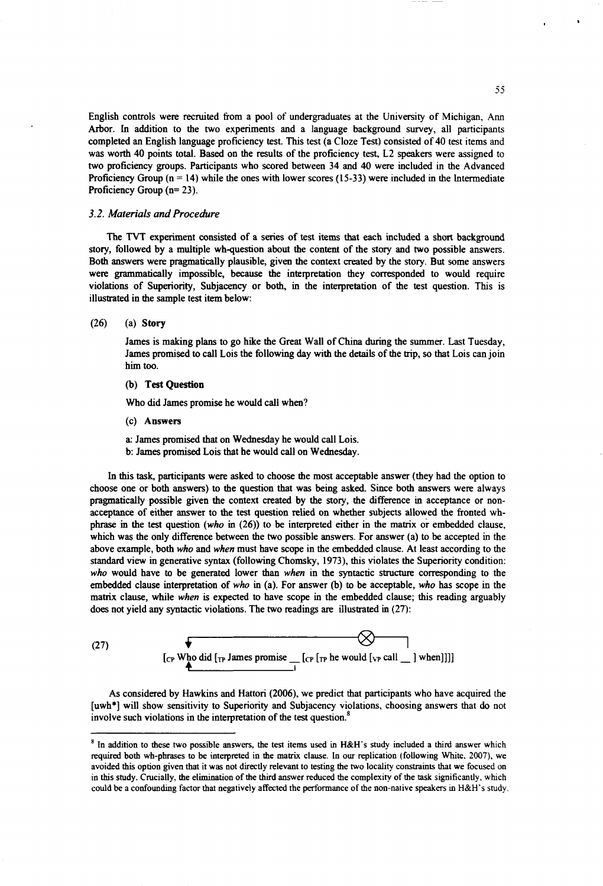English controls were recruited from a pool of undergraduates at the University of Michigan, Ann Arbor. In addition to the two experiments and a language background survey, all participants completed an English language proficiency test. This test (a Cloze Test) consisted of 40 test items and was worth 40 points total. Based on the results of the proficiency test, L2 speakers were assigned to two proficiency groups. Participants who scored between 34 and 40 were included in the Advanced Proficiency Group  $(n = 14)$  while the ones with lower scores (15-33) were included in the Intermediate Proficiency Group (n= 23).

#### *3.2. Materials and Procedure*

The TVT experiment consisted of a series of test items that each included a short background story, followed by a multiple wh-question about the content of the story and two possible answers. Both answers were pragmatically plausible, given the context created by the story. But some answers were grammatically impossible, because the interpretation they corresponded to would require violations of Superiority, Subjacency or both, in the interpretation of the test question. This is illustrated in the sample test item below:

#### (26) (a) Story

James is making plans to go hike die Great Wall of China during the summer. Last Tuesday, James promised to call Lois the following day with the details of the trip, so that Lois can join him too.

#### (b) Test Question

Who did James promise he would call when?

(c) Answers

a: James promised that on Wednesday he would call Lois.

b: James promised Lois that he would call on Wednesday.

In this task, participants were asked to choose the most acceptable answer (they had the option to choose one or both answers) to the question that was being asked. Since both answers were always pragmatically possible given the context created by the story, the difference in acceptance or nonacceptance of either answer to the test question relied on whether subjects allowed the fronted whphrase in the test question *(who* in (26)) to be interpreted either in the matrix or embedded clause, which was the only difference between the two possible answers. For answer (a) to be accepted in the above example, both *who* and *when* must have scope in the embedded clause. At least according to the standard view in generative syntax (following Chomsky, 1973), this violates the Superiority condition: *who* would have to be generated lower than *when* in the syntactic structure corresponding to the embedded clause interpretation of *who* in (a). For answer (b) to be acceptable, *who* has scope in the matrix clause, while *when* is expected to have scope in the embedded clause; this reading arguably does not yield any syntactic violations. The two readings are illustrated in (27):

(27) 
$$
\begin{array}{c}\n\left[\text{cr Who did }_{\text{Tr}} \text{ James promise} - \text{[cr [r p he would }_{\text{Pr call}} - \text{] when}]\right]\n\end{array}
$$

As considered by Hawkins and Hattori (2006), we predict that participants who have acquired the [uwh\*] will show sensitivity to Superiority and Subjacency violations, choosing answers that do not involve such violations in the interpretation of the test question.<sup>8</sup>

**<sup>8</sup> In addition to these two possible answers, the test items used in H&H's study included a third answer which** required both wh-phrases to be interpreted in the matrix clause. In our replication (following White, 2007), we avoided this option given that it was not directly relevant to testing the two locality constraints that we focused on in this study. Crucially, the elimination of the third answer reduced the complexity of the task significantly, which could be a confounding factor that negatively affected the performance of the non-native speakers in H&H's study.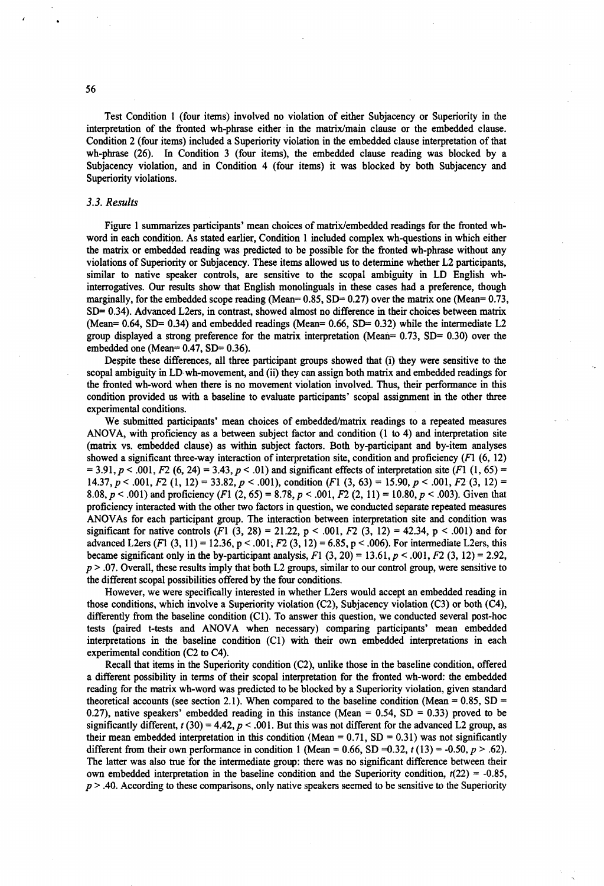Test Condition 1 (four items) involved no violation of either Subjacency or Superiority in the interpretation of the fronted wh-phrase either in the matrix/main clause or the embedded clause. Condition 2 (four items) included a Superiority violation in the embedded clause interpretation of that wh-phrase (26). In Condition 3 (four items), the embedded clause reading was blocked by a Subjacency violation, and in Condition 4 (four items) it was blocked by both Subjacency and Superiority violations.

#### *3.3. Results*

Figure 1 summarizes participants' mean choices of matrix/embedded readings for the fronted whword in each condition. As stated earlier, Condition 1 included complex wh-questions in which either the matrix or embedded reading was predicted to be possible for the fronted wh-phrase without any violations of Superiority or Subjacency. These items allowed us to determine whether L2 participants, similar to native speaker controls, are sensitive to the scopal ambiguity in LD English whinterrogatives. Our results show that English monolinguals in these cases had a preference, though marginally, for the embedded scope reading (Mean=  $0.85$ , SD=  $0.27$ ) over the matrix one (Mean=  $0.73$ , SD= 0.34). Advanced L2ers, in contrast, showed almost no difference in their choices between matrix (Mean=  $0.64$ , SD=  $0.34$ ) and embedded readings (Mean=  $0.66$ , SD=  $0.32$ ) while the intermediate L2 group displayed a strong preference for the matrix interpretation (Mean= 0.73, SD= 0.30) over the embedded one (Mean= $0.47$ , SD= $0.36$ ).

Despite these differences, all three participant groups showed that (i) they were sensitive to the scopal ambiguity in LD wh-movement, and (ii) they can assign both matrix and embedded readings for the fronted wh-word when there is no movement violation involved. Thus, their performance in this condition provided us with a baseline to evaluate participants' scopal assignment in the other three experimental conditions.

We submitted participants' mean choices of embedded/matrix readings to a repeated measures ANOVA, with proficiency as a between subject factor and condition (1 to 4) and interpretation site (matrix vs. embedded clause) as within subject factors. Both by-participant and by-item analyses showed a significant three-way interaction of interpretation site, condition and proficiency  $(F1 (6, 12))$  $= 3.91, p < .001, F2$  (6, 24) = 3.43,  $p < .01$ ) and significant effects of interpretation site (F1 (1, 65) = 14.37,  $p < .001$ ,  $F2$  (1, 12) = 33.82,  $p < .001$ ), condition (F1 (3, 63) = 15.90,  $p < .001$ ,  $F2$  (3, 12) = 8.08,  $p < .001$ ) and proficiency (F1 (2, 65) = 8.78,  $p < .001$ , F2 (2, 11) = 10.80,  $p < .003$ ). Given that proficiency interacted with the other two factors in question, we conducted separate repeated measures ANOVAs for each participant group. The interaction between interpretation site and condition was significant for native controls (F1  $(3, 28) = 21.22$ ,  $p < .001$ ,  $F2 (3, 12) = 42.34$ ,  $p < .001$ ) and for advanced L2ers (F1 (3, 11) = 12.36, p < .001, F2 (3, 12) = 6.85, p < .006). For intermediate L2ers, this became significant only in the by-participant analysis,  $F1 (3, 20) = 13.61, p < .001, F2 (3, 12) = 2.92$ , *p* > .07. Overall, these results imply that both L2 groups, similar to our control group, were sensitive to the different scopal possibilities offered by the four conditions.

However, we were specifically interested in whether L2ers would accept an embedded reading in those conditions, which involve a Superiority violation (C2), Subjacency violation (C3) or both (C4), differently from the baseline condition (Cl). To answer this question, we conducted several post-hoc tests (paired t-tests and ANOVA when necessary) comparing participants' mean embedded interpretations in the baseline condition (Cl) with their own embedded interpretations in each experimental condition (C2 to C4).

Recall that items in the Superiority condition (C2), unlike those in the baseline condition, offered a different possibility in terms of their scopal interpretation for the fronted wh-word: the embedded reading for the matrix wh-word was predicted to be blocked by a Superiority violation, given standard theoretical accounts (see section 2.1). When compared to the baseline condition (Mean =  $0.85$ , SD = 0.27), native speakers' embedded reading in this instance (Mean  $= 0.54$ , SD  $= 0.33$ ) proved to be significantly different,  $t(30) = 4.42$ ,  $p < .001$ . But this was not different for the advanced L2 group, as their mean embedded interpretation in this condition (Mean =  $0.71$ , SD =  $0.31$ ) was not significantly different from their own performance in condition 1 (Mean = 0.66, SD = 0.32,  $t(13) = -0.50$ ,  $p > .62$ ). The latter was also true for the intermediate group: there was no significant difference between their own embedded interpretation in the baseline condition and the Superiority condition,  $t(22) = -0.85$ , *p* > .40. According to these comparisons, only native speakers seemed to be sensitive to the Superiority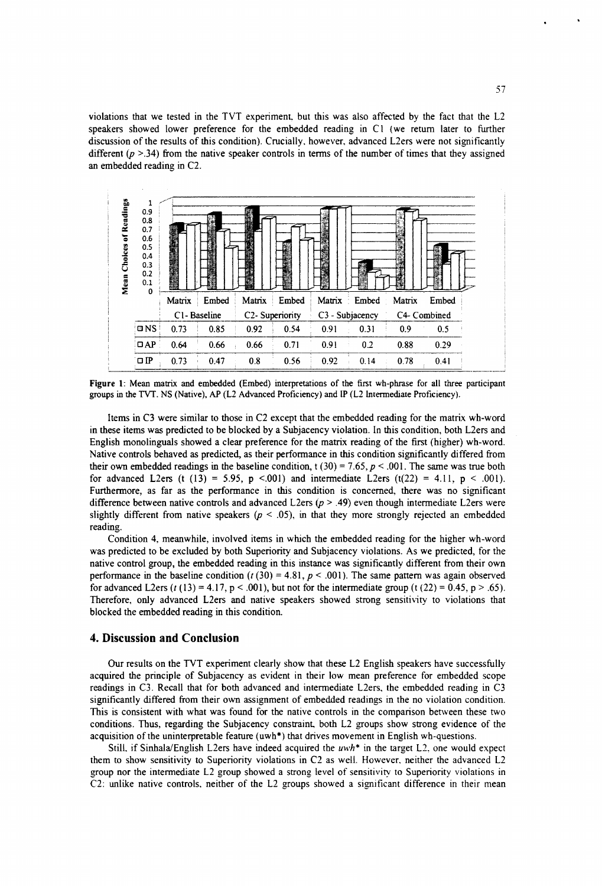violations that we tested in the TVT experiment, but this was also affected by the fact that the L2 speakers showed lower preference for the embedded reading in Cl (we return later to further discussion of the results of this condition). Crucially, however, advanced L2ers were not significantly different  $(p > .34)$  from the native speaker controls in terms of the number of times that they assigned an embedded reading in C2.



Figure 1: Mean matrix and embedded (Embed) interpretations of the first wh-phrase for all three participant **groups in the TVT. NS (Native), AP (L2 Advanced Proficiency) and IP (L2 Intermediate Proficiency).**

Items in C3 were similar to those in C2 except that the embedded reading for the matrix wh-word in these items was predicted to be blocked by a Subjacency violation. In this condition, both L2ers and English monolinguals showed a clear preference for the matrix reading of the first (higher) wh-word. Native controls behaved as predicted, as their performance in this condition significantly differed from their own embedded readings in the baseline condition, t (30) = 7.65,  $p < .001$ . The same was true both for advanced L2ers (t (13) = 5.95, p <.001) and intermediate L2ers (t(22) = 4.11, p < .001). Furthermore, as far as the performance in this condition is concerned, there was no significant difference between native controls and advanced L2ers *(p >* .49) even though intermediate L2ers were slightly different from native speakers  $(p < .05)$ , in that they more strongly rejected an embedded reading.

Condition 4, meanwhile, involved items in which the embedded reading for the higher wh-word was predicted to be excluded by both Superiority and Subjacency violations. As we predicted, for the native control group, the embedded reading in this instance was significantly different from their own performance in the baseline condition  $(t(30) = 4.81, p < .001)$ . The same pattern was again observed for advanced L2ers  $(t(13) = 4.17, p < .001)$ , but not for the intermediate group  $(t(22) = 0.45, p > .65)$ . Therefore, only advanced L2ers and native speakers showed strong sensitivity to violations that blocked the embedded reading in this condition.

#### **4. Discussion and Conclusion**

Our results on the TVT experiment clearly show that these L2 English speakers have successfully acquired the principle of Subjacency as evident in their low mean preference for embedded scope readings in C3. Recall that for both advanced and intermediate L2ers, the embedded reading in C3 significantly differed from their own assignment of embedded readings in the no violation condition. This is consistent with what was found for the native controls in the comparison between these two conditions. Thus, regarding the Subjacency constraint, both L2 groups show strong evidence of the acquisition of the uninterpretable feature (uwh\*) that drives movement in English wh-questions.

Still, if Sinhala/English L2ers have indeed acquired the *uwh\** in the target L2. one would expect them to show sensitivity to Superiority violations in C2 as well. However, neither the advanced L2 group nor the intermediate L2 group showed a strong level of sensitivity to Superiority violations in C2: unlike native controls, neither of the L2 groups showed a significant difference in their mean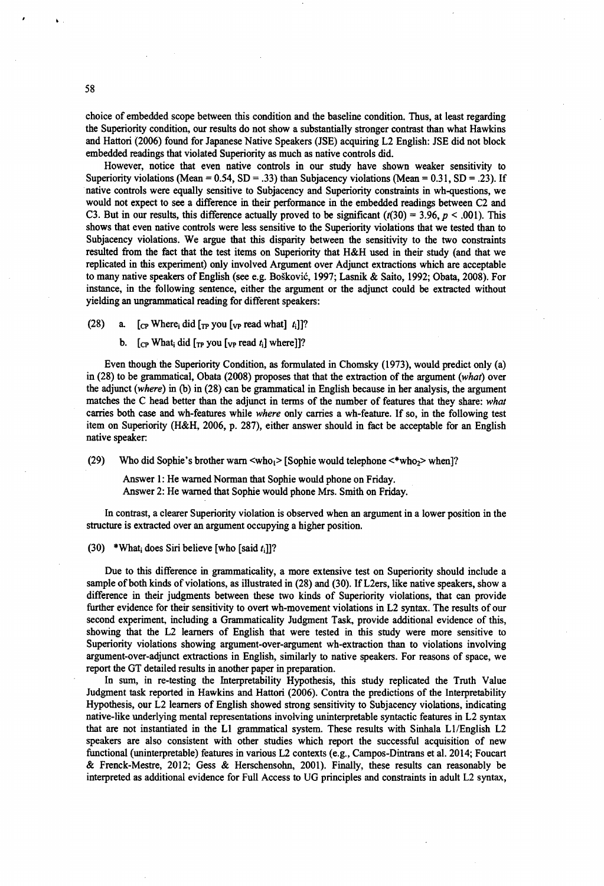choice of embedded scope between this condition and the baseline condition. Thus, at least regarding the Superiority condition, our results do not show a substantially stronger contrast than what Hawkins and Hattori (2006) found for Japanese Native Speakers (JSE) acquiring L2 English: JSE did not block embedded readings that violated Superiority as much as native controls did.

However, notice that even native controls in our study have shown weaker sensitivity to Superiority violations (Mean =  $0.54$ , SD = .33) than Subjacency violations (Mean =  $0.31$ , SD = .23). If native controls were equally sensitive to Subjacency and Superiority constraints in wh-questions, we would not expect to see a difference in their performance in the embedded readings between C2 and C3. But in our results, this difference actually proved to be significant  $(r(30) = 3.96, p < .001)$ . This shows that even native controls were less sensitive to the Superiority violations that we tested than to Subjacency violations. We argue that this disparity between the sensitivity to the two constraints resulted from the fact that the test items on Superiority that H&H used in their study (and that we replicated in this experiment) only involved Argument over Adjunct extractions which are acceptable to many native speakers of English (see e.g. Boskovic, 1997; Lasnik & Saito, 1992; Obata, 2008). For instance, in the following sentence, either the argument or the adjunct could be extracted without yielding an ungrammatical reading for different speakers:

(28) a.  $[CP$  Where<sub>i</sub> did  $[T_P$  you  $[v_P]$  read what  $[i]$ ?

b.  $[\begin{array}{cc} \text{C}_{\text{P}} \text{ What}_i \text{ did } [\begin{array}{c} \text{TP} \text{ you } [\text{VP} \text{ read } t_i] \text{ where} \end{array}]]$ ?

Even though the Superiority Condition, as formulated in Chomsky (1973), would predict only (a) in (28) to be grammatical, Obata (2008) proposes that that the extraction of the argument *(what)* over the adjunct *(where)* in (b) in (28) can be grammatical in English because in her analysis, the argument matches the C head better than the adjunct in terms of the number of features that they share: *what* carries both case and wh-features while *where* only carries a wh-feature. If so, in the following test item on Superiority (H&H, 2006, p. 287), either answer should in fact be acceptable for an English native speaker:

(29) Who did Sophie's brother warn  $\langle \text{who}_1 \rangle$  [Sophie would telephone  $\langle \text{who}_2 \rangle$  when]?

Answer 1: He warned Norman that Sophie would phone on Friday. Answer 2: He warned that Sophie would phone Mrs. Smith on Friday.

In contrast, a clearer Superiority violation is observed when an argument in a lower position in the structure is extracted over an argument occupying a higher position.

(30) \*What; does Siri believe [who [said  $t_i$ ]]?

Due to this difference in grammaticality, a more extensive test on Superiority should include a sample of both kinds of violations, as illustrated in (28) and (30). If L2ers, like native speakers, show a difference in their judgments between these two kinds of Superiority violations, that can provide further evidence for their sensitivity to overt wh-movement violations in L2 syntax. The results of our second experiment, including a Grammaticality Judgment Task, provide additional evidence of this, showing that the L2 learners of English that were tested in this study were more sensitive to Superiority violations showing argument-over-argument wh-extraction than to violations involving argument-over-adjunct extractions in English, similarly to native speakers. For reasons of space, we report the GT detailed results in another paper in preparation.

In sum, in re-testing the Interpretability Hypothesis, this study replicated the Truth Value Judgment task reported in Hawkins and Hattori (2006). Contra the predictions of the Interpretability Hypothesis, our L2 learners of English showed strong sensitivity to Subjacency violations, indicating native-like underlying mental representations involving uninterpretable syntactic features in L2 syntax that are not instantiated in the LI grammatical system. These results with Sinhala Ll/English L2 speakers are also consistent with other studies which report the successful acquisition of new functional (uninterpretable) features in various L2 contexts (e.g., Campos-Dintrans et al. 2014; Foucart & Frenck-Mestre, 2012; Gess & Herschensohn, 2001). Finally, these results can reasonably be interpreted as additional evidence for Full Access to UG principles and constraints in adult L2 syntax,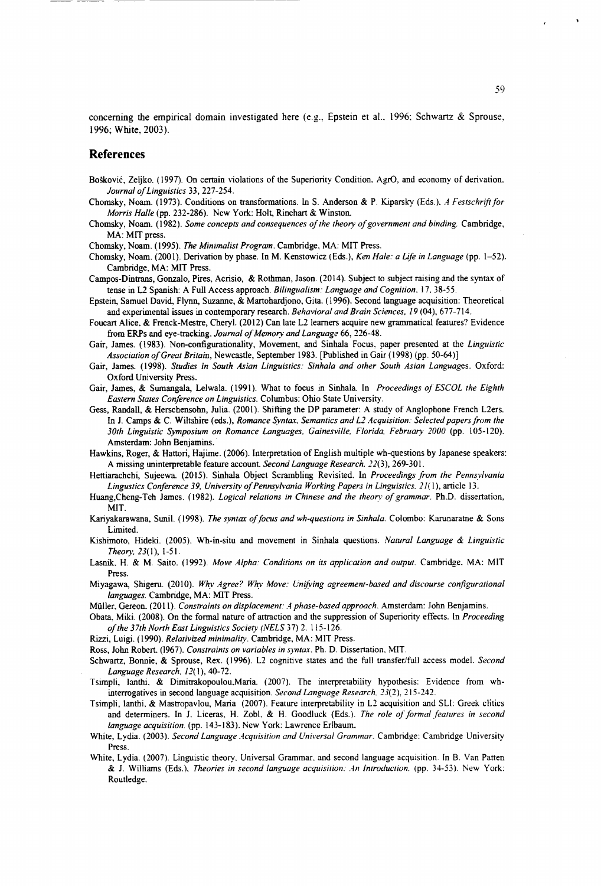concerning the empirical domain investigated here (e.g., Epstein et al., 1996; Schwartz & Sprouse, 1996; White, 2003).

#### References

- **Boskovic, Zeljko. (1997). On certain violations of the Superiority Condition. AgrO, and economy of derivation.** *Journal of Linguistics* 33, 227-254.
- Chomsky, Noam. (1973). Conditions on transformations. In S. Anderson & P. Kiparsky (Eds.). *A F estschrift for Morris Halle* (pp. 232-286). New York: Holt, Rinehart & Winston.
- Chomsky, Noam. (1982). *Some concepts and consequences of the theory of government and binding.* Cambridge, **MA: MIT press.**
- Chomsky, Noam. (1995). *The Minimalist Program*. Cambridge, MA: MIT Press.
- Chomsky, Noam. (2001). Derivation by phase. In M. Kenstowicz (Eds.), *Ken Hale: a Life in Language* (pp. 1-52). **Cambridge, MA: MIT Press.**
- **Campos-Dintrans, Gonzalo, Pires, Acrisio, & Rothman, Jason. (2014). Subject to subject raising and the syntax of** tense in L2 Spanish: A Full Access approach. *Bilingualism: Language and Cognition*. 17, 38-55.
- **Epstein, Samuel David, Flynn, Suzanne, & Martohardjono, Gita. (1996). Second language acquisition: Theoretical** and experimental issues in contemporary research. *Behavioral and Brain Sciences*, 19 (04), 677-714.
- **Foucart Alice. & Frenck-Mestre, Cheryl. (2012) Can late L2 learners acquire new grammatical features? Evidence** from ERPs and eye-tracking. *Journal of Memory and Language* 66, 226-48.
- Gair, James. (1983). Non-configurationality, Movement, and Sinhala Focus, paper presented at the *Linguistic Association of Great Britain, Newcastle, September 1983. [Published in Gair (1998) (pp. 50-64)]*
- Gair, James. (1998). *Studies in South Asian Linguistics: Sinhala and other South Asian Languages. Oxford:* **Oxford University Press.**
- Gair, James, & Sumangala, Lelwala. (1991). What to focus in Sinhala. In *Proceedings of ESCOL the Eighth Eastern States Conference on Linguistics.* Columbus: Ohio State University.
- **Gess, Randall, & Herschensohn, Julia. (2001). Shifting the DP parameter: A study of Anglophone French L2ers.** In J. Camps & C. Wiltshire (eds.), *Romance Syntax, Semantics and L2 Acquisition: Selected papers from the 3 0 t h L i n g u i s t i c S y m p o s i u m o n R o m a n c e L a n g u a g e s , G a in e s v ille , F l o r id a , F e b r u a r y 2 0 0 0* **(pp. 105-120). Amsterdam: John Benjamins.**
- **Hawkins, Roger, & Hattori, Hajime. (2006). Interpretation of English multiple wh-questions by Japanese speakers:** A missing uninterpretable feature account. *Second Language Research*. 22(3), 269-301.
- Hettiarachchi, Sujeewa. (2015). Sinhala Object Scrambling Revisited. In *Proceedings from the Pennsvlvania Lingustics Conference 39, University of Pennsylvania Working Papers in Linguistics. 21(1), article 13.*
- Huang,Cheng-Teh James. (1982). *Logical relations in Chinese and the theory of grammar*. Ph.D. dissertation, **MIT.**
- Kariyakarawana, Sunil. (1998). *The syntax of focus and wh-questions in Sinhala*. Colombo: Karunaratne & Sons **Limited.**
- Kishimoto, Hideki. (2005). Wh-in-situ and movement in Sinhala questions. *Natural Language & Linguistic Theory*, 23(1), 1-51.
- Lasnik. H. & M. Saito. (1992). *Move Alpha: Conditions on its application and output*. Cambridge, MA: MIT **Press.**
- Miyagawa, Shigeru. (2010). *Why Agree? Why Move: Unifying agreement-based and discourse configurational languages.* Cambridge, MA: MIT Press.
- Müller, Gereon. (2011). *Constraints on displacement: A phase-based approach*. Amsterdam: John Benjamins.
- Obata, Miki. (2008). On the formal nature of attraction and the suppression of Superiority effects. In *Proceeding of the 37th North East Linguistics Society (NELS 37) 2. 115-126.*
- Rizzi, Luigi. (1990). *Relativized minimality*. Cambridge, MA: MIT Press.
- Ross, John Robert. (1967). *Constraints on variables in syntax*. Ph. D. Dissertation, MIT.
- Schwartz, Bonnie, & Sprouse, Rex. (1996). L2 cognitive states and the full transfer/full access model. *Second Language Research*.  $12(1)$ , 40-72.
- **Tsimpli, Ianthi, & Dimitrakopoulou.Maria. (2007). The interpretability hypothesis: Evidence from wh**interrogatives in second language acquisition. *Second Language Research*. 23(2), 215-242.
- **Tsimpli, Ianthi. & Mastropavlou, Maria (2007). Feature interpretability in L2 acquisition and SLI: Greek clitics** and determiners. In J. Liceras, H. Zobl, & H. Goodluck (Eds.). The role of formal features in second *language acquisition.* (pp. 143-183). New York: Lawrence Erlbaum.
- White, Lydia. (2003). *Second Language Acquisition and Universal Grammar*. Cambridge: Cambridge University **Press.**
- **White, Lydia. (2007). Linguistic theory. Universal Grammar, and second language acquisition. In B. Van Patten**  $&$  J. Williams (Eds.), *Theories in second language acquisition: An Introduction.* (pp. 34-53). New York: **Routledge.**